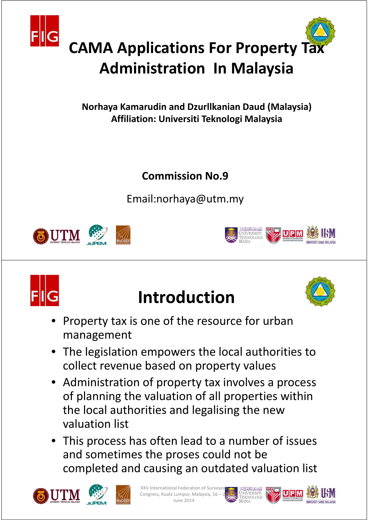

# **Administration In Malaysia**

**Norhaya Kamarudin and Dzurllkanian Daud (Malaysia) Affiliation: Universiti Teknologi Malaysia**

**Commission No.9**

Email:norhaya@utm.my







## **Introduction**



- Property tax is one of the resource for urban management
- The legislation empowers the local authorities to collect revenue based on property values
- Administration of property tax involves a process of planning the valuation of all properties within the local authorities and legalising the new valuation list
- This process has often lead to a number of issues and sometimes the proses could not be completed and causing an outdated valuation list





XV International Federation of Surveyo Congress, Kuala Lumpur, Malaysia, 16 - $\ln n \approx 2014$ 



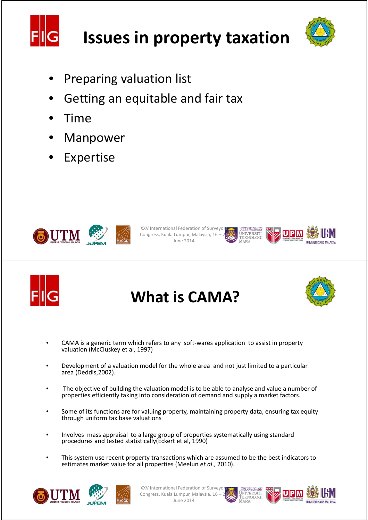

## **Issues in property taxation**



- Preparing valuation list
- Getting an equitable and fair tax
- Time
- **Manpower**
- **Expertise**



```
XXV International Federation of Surveyor
Congress, Kuala Lumpur, Malaysia, 16 – 21 
               June 2014
```




#### **What is CAMA?**



- CAMA is a generic term which refers to any soft-wares application to assist in property valuation (McCluskey et al, 1997)
- Development of a valuation model for the whole area and not just limited to a particular area (Deddis,2002).
- The objective of building the valuation model is to be able to analyse and value a number of properties efficiently taking into consideration of demand and supply a market factors.
- Some of its functions are for valuing property, maintaining property data, ensuring tax equity through uniform tax base valuations
- Involves mass appraisal to a large group of properties systematically using standard procedures and tested statistically(Eckert et al, 1990)
- This system use recent property transactions which are assumed to be the best indicators to estimates market value for all properties (Meelun *et al*., 2010).



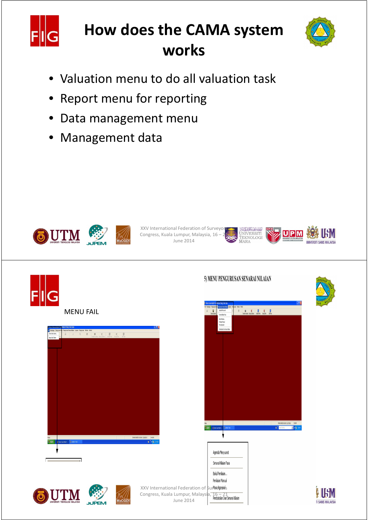

### **How does the CAMA system works**



- Valuation menu to do all valuation task
- Report menu for reporting
- Data management menu
- Management data







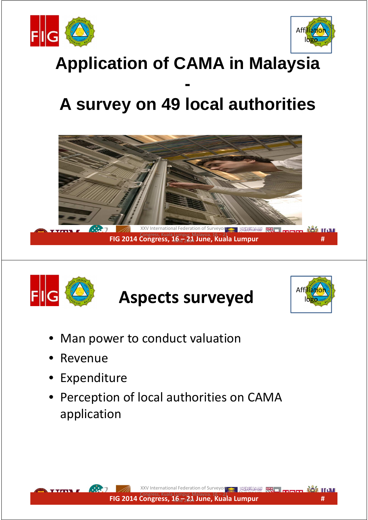



## **Application of CAMA in Malaysia**

#### **- A survey on 49 local authorities**





## **Aspects surveyed**



- Man power to conduct valuation
- **Revenue**
- **Expenditure**
- Perception of local authorities on CAMA application **FIG 2014 Congress, 16 – 21 June, Kuala Lumpur**<br>FIG 2014 Congress, 16 – 21 June, Kuala Lumpur<br>FIG 2014 Congress, 16 – 21 June, Kuala Lumpur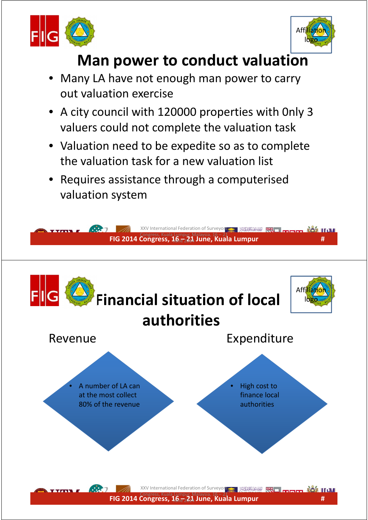



#### **Man power to conduct valuation**

- Many LA have not enough man power to carry out valuation exercise
- A city council with 120000 properties with 0nly 3 valuers could not complete the valuation task
- Valuation need to be expedite so as to complete the valuation task for a new valuation list
- Requires assistance through a computerised valuation system

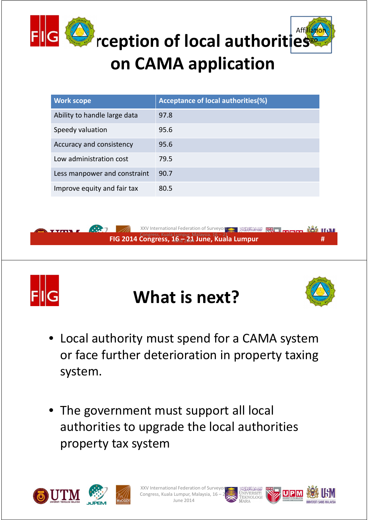

| rception of local authorities<br>on CAMA application           |                                                                   |  |
|----------------------------------------------------------------|-------------------------------------------------------------------|--|
| <b>Work scope</b>                                              | <b>Acceptance of local authorities(%)</b>                         |  |
| Ability to handle large data                                   | 97.8                                                              |  |
| Speedy valuation                                               | 95.6                                                              |  |
| Accuracy and consistency                                       | 95.6                                                              |  |
| Low administration cost                                        | 79.5                                                              |  |
| Less manpower and constraint                                   | 90.7                                                              |  |
| Improve equity and fair tax                                    | 80.5                                                              |  |
|                                                                |                                                                   |  |
| $\dddot{\bullet}$ :                                            | XXV International Federation of Surveyors.<br>الموسنون تكولوكاتال |  |
| FIG 2014 Congress, $16\frac{1}{12}$ 21 June, Kuala Lumpur<br>Ħ |                                                                   |  |



### **What is next?**



- Local authority must spend for a CAMA system or face further deterioration in property taxing system.
- The government must support all local authorities to upgrade the local authorities property tax system